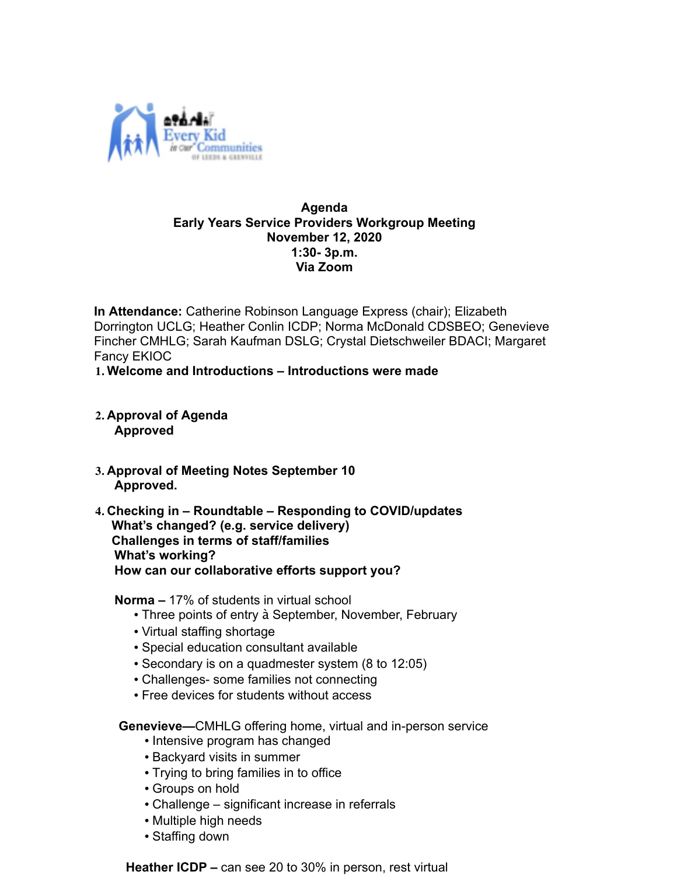

#### **Agenda Early Years Service Providers Workgroup Meeting November 12, 2020 1:30- 3p.m. Via Zoom**

 **In Attendance:** Catherine Robinson Language Express (chair); Elizabeth Dorrington UCLG; Heather Conlin ICDP; Norma McDonald CDSBEO; Genevieve Fincher CMHLG; Sarah Kaufman DSLG; Crystal Dietschweiler BDACI; Margaret Fancy EKIOC

**1. Welcome and Introductions – Introductions were made**

- **2. Approval of Agenda Approved**
- **3. Approval of Meeting Notes September 10 Approved.**
- **4. Checking in Roundtable Responding to COVID/updates What's changed? (e.g. service delivery) Challenges in terms of staff/families What's working? How can our collaborative efforts support you?**

**Norma –** 17% of students in virtual school

- Three points of entry à September, November, February
- Virtual staffing shortage
- Special education consultant available
- Secondary is on a quadmester system (8 to 12:05)
- Challenges- some families not connecting
- Free devices for students without access

 **Genevieve—**CMHLG offering home, virtual and in-person service

- Intensive program has changed
- Backyard visits in summer
- Trying to bring families in to office
- Groups on hold
- Challenge significant increase in referrals
- Multiple high needs
- Staffing down

**Heather ICDP –** can see 20 to 30% in person, rest virtual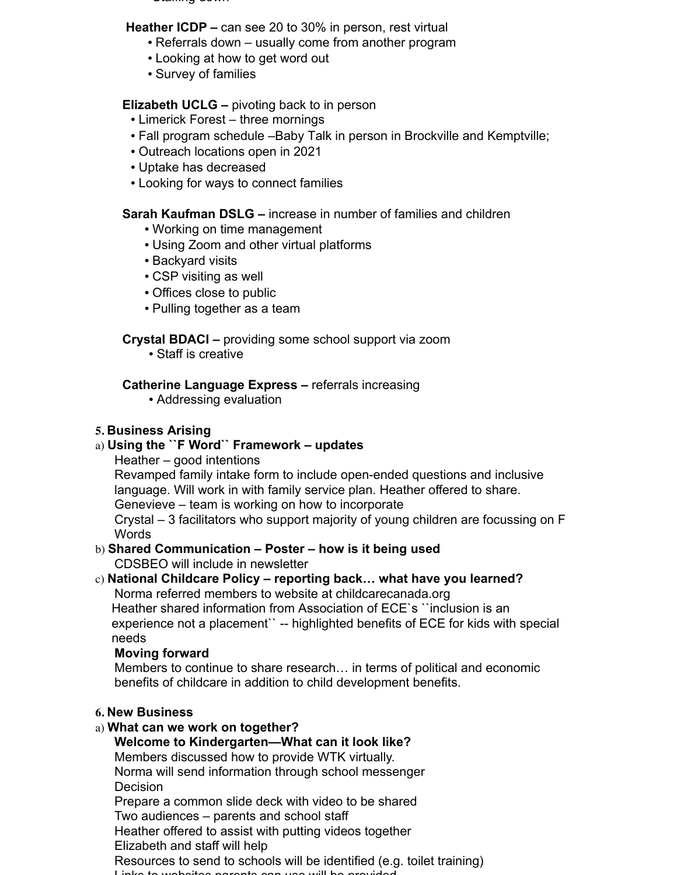$\sim$   $\sim$   $\sim$   $\sim$   $\sim$   $\sim$   $\sim$   $\sim$ 

#### **Heather ICDP –** can see 20 to 30% in person, rest virtual

- Referrals down usually come from another program
- Looking at how to get word out
- Survey of families

#### **Elizabeth UCLG –** pivoting back to in person

- Limerick Forest three mornings
- Fall program schedule –Baby Talk in person in Brockville and Kemptville;
- Outreach locations open in 2021
- Uptake has decreased
- Looking for ways to connect families

## **Sarah Kaufman DSLG –** increase in number of families and children

- Working on time management
- Using Zoom and other virtual platforms
- Backyard visits
- CSP visiting as well
- Offices close to public
- Pulling together as a team

# **Crystal BDACI –** providing some school support via zoom

• Staff is creative

# **Catherine Language Express –** referrals increasing

• Addressing evaluation

# **5. Business Arising**

## a) **Using the ``F Word`` Framework – updates**

Heather – good intentions

Revamped family intake form to include open-ended questions and inclusive language. Will work in with family service plan. Heather offered to share. Genevieve – team is working on how to incorporate

Crystal – 3 facilitators who support majority of young children are focussing on F **Words** 

#### b) **Shared Communication – Poster – how is it being used** CDSBEO will include in newsletter

# c) **National Childcare Policy – reporting back… what have you learned?**

Norma referred members to website at childcarecanada.org Heather shared information from Association of ECE`s ``inclusion is an experience not a placement`` -- highlighted benefits of ECE for kids with special

needs

## **Moving forward**

Members to continue to share research… in terms of political and economic benefits of childcare in addition to child development benefits.

## **6. New Business**

# a) **What can we work on together?**

**Welcome to Kindergarten—What can it look like?**

Members discussed how to provide WTK virtually.

Norma will send information through school messenger Decision

Prepare a common slide deck with video to be shared

Two audiences – parents and school staff

Heather offered to assist with putting videos together

Elizabeth and staff will help

Resources to send to schools will be identified (e.g. toilet training) Links to websites parents can use will be provided